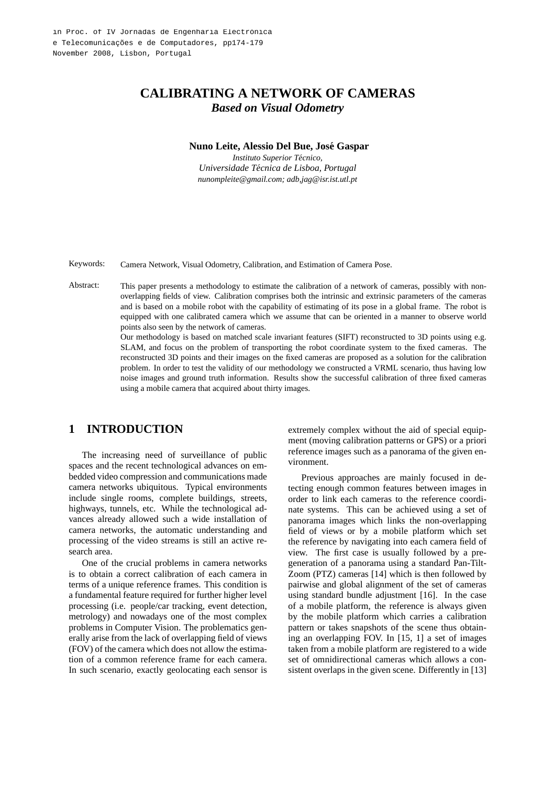# **CALIBRATING A NETWORK OF CAMERAS** *Based on Visual Odometry*

#### **Nuno Leite, Alessio Del Bue, Jose Gaspar ´**

*Instituto Superior Tecnico, ´ Universidade Tecnica de Lisboa, Portugal ´ nunompleite@gmail.com; adb,jag@isr.ist.utl.pt*

Keywords: Camera Network, Visual Odometry, Calibration, and Estimation of Camera Pose.

Abstract: This paper presents a methodology to estimate the calibration of a network of cameras, possibly with nonoverlapping fields of view. Calibration comprises both the intrinsic and extrinsic parameters of the cameras and is based on a mobile robot with the capability of estimating of its pose in a global frame. The robot is equipped with one calibrated camera which we assume that can be oriented in a manner to observe world points also seen by the network of cameras.

> Our methodology is based on matched scale invariant features (SIFT) reconstructed to 3D points using e.g. SLAM, and focus on the problem of transporting the robot coordinate system to the fixed cameras. The reconstructed 3D points and their images on the fixed cameras are proposed as a solution for the calibration problem. In order to test the validity of our methodology we constructed a VRML scenario, thus having low noise images and ground truth information. Results show the successful calibration of three fixed cameras using a mobile camera that acquired about thirty images.

## **1 INTRODUCTION**

The increasing need of surveillance of public spaces and the recent technological advances on embedded video compression and communications made camera networks ubiquitous. Typical environments include single rooms, complete buildings, streets, highways, tunnels, etc. While the technological advances already allowed such a wide installation of camera networks, the automatic understanding and processing of the video streams is still an active research area.

One of the crucial problems in camera networks is to obtain a correct calibration of each camera in terms of a unique reference frames. This condition is a fundamental feature required for further higher level processing (i.e. people/car tracking, event detection, metrology) and nowadays one of the most complex problems in Computer Vision. The problematics generally arise from the lack of overlapping field of views (FOV) of the camera which does not allow the estimation of a common reference frame for each camera. In such scenario, exactly geolocating each sensor is extremely complex without the aid of special equipment (moving calibration patterns or GPS) or a priori reference images such as a panorama of the given environment.

Previous approaches are mainly focused in detecting enough common features between images in order to link each cameras to the reference coordinate systems. This can be achieved using a set of panorama images which links the non-overlapping field of views or by a mobile platform which set the reference by navigating into each camera field of view. The first case is usually followed by a pregeneration of a panorama using a standard Pan-Tilt-Zoom (PTZ) cameras [14] which is then followed by pairwise and global alignment of the set of cameras using standard bundle adjustment [16]. In the case of a mobile platform, the reference is always given by the mobile platform which carries a calibration pattern or takes snapshots of the scene thus obtaining an overlapping FOV. In [15, 1] a set of images taken from a mobile platform are registered to a wide set of omnidirectional cameras which allows a consistent overlaps in the given scene. Differently in [13]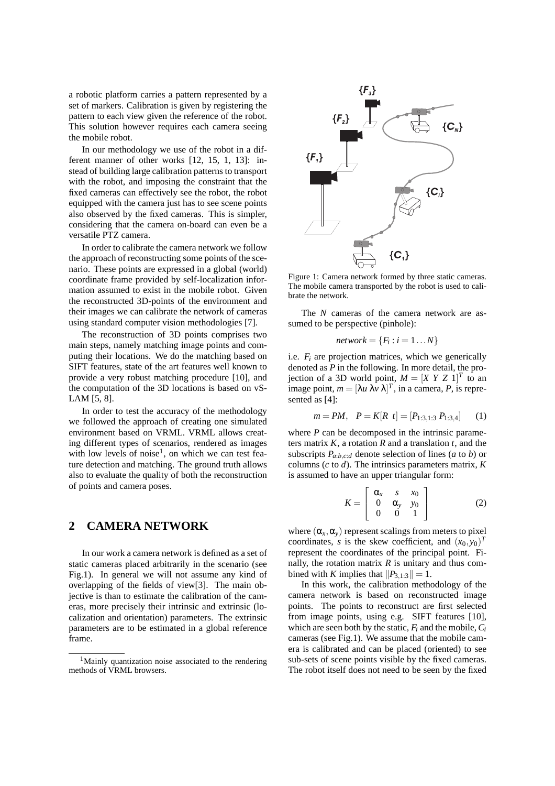a robotic platform carries a pattern represented by a set of markers. Calibration is given by registering the pattern to each view given the reference of the robot. This solution however requires each camera seeing the mobile robot.

In our methodology we use of the robot in a different manner of other works [12, 15, 1, 13]: instead of building large calibration patterns to transport with the robot, and imposing the constraint that the fixed cameras can effectively see the robot, the robot equipped with the camera just has to see scene points also observed by the fixed cameras. This is simpler, considering that the camera on-board can even be a versatile PTZ camera.

In order to calibrate the camera network we follow the approach of reconstructing some points of the scenario. These points are expressed in a global (world) coordinate frame provided by self-localization information assumed to exist in the mobile robot. Given the reconstructed 3D-points of the environment and their images we can calibrate the network of cameras using standard computer vision methodologies [7].

The reconstruction of 3D points comprises two main steps, namely matching image points and computing their locations. We do the matching based on SIFT features, state of the art features well known to provide a very robust matching procedure [10], and the computation of the 3D locations is based on vS-LAM [5, 8].

In order to test the accuracy of the methodology we followed the approach of creating one simulated environment based on VRML. VRML allows creating different types of scenarios, rendered as images with low levels of noise<sup>1</sup>, on which we can test feature detection and matching. The ground truth allows also to evaluate the quality of both the reconstruction of points and camera poses.

### **2 CAMERA NETWORK**

In our work a camera network is defined as a set of static cameras placed arbitrarily in the scenario (see Fig.1). In general we will not assume any kind of overlapping of the fields of view[3]. The main objective is than to estimate the calibration of the cameras, more precisely their intrinsic and extrinsic (localization and orientation) parameters. The extrinsic parameters are to be estimated in a global reference frame.



Figure 1: Camera network formed by three static cameras. The mobile camera transported by the robot is used to calibrate the network.

The *N* cameras of the camera network are assumed to be perspective (pinhole):

$$
network = \{F_i : i = 1 \dots N\}
$$

i.e.  $F_i$  are projection matrices, which we generically denoted as *P* in the following. In more detail, the projection of a 3D world point,  $M = [X \ Y \ Z \ 1]^T$  to an image point,  $m = [\lambda u \lambda v \lambda]^T$ , in a camera, P, is represented as [4]:

$$
m = PM, \quad P = K[R \ t] = [P_{1:3,1:3} \ P_{1:3,4}] \tag{1}
$$

where *P* can be decomposed in the intrinsic parameters matrix *K*, a rotation *R* and a translation *t*, and the subscripts  $P_{a:b,c:d}$  denote selection of lines (*a* to *b*) or columns (*c* to *d*). The intrinsics parameters matrix, *K* is assumed to have an upper triangular form:

$$
K = \left[ \begin{array}{ccc} \alpha_x & s & x_0 \\ 0 & \alpha_y & y_0 \\ 0 & 0 & 1 \end{array} \right] \tag{2}
$$

where  $(\alpha_x, \alpha_y)$  represent scalings from meters to pixel coordinates, *s* is the skew coefficient, and  $(x_0, y_0)^T$ represent the coordinates of the principal point. Finally, the rotation matrix  $R$  is unitary and thus combined with *K* implies that  $||P_{3,1:3}|| = 1$ .

In this work, the calibration methodology of the camera network is based on reconstructed image points. The points to reconstruct are first selected from image points, using e.g. SIFT features [10], which are seen both by the static,  $F_i$  and the mobile,  $C_i$ cameras (see Fig.1). We assume that the mobile camera is calibrated and can be placed (oriented) to see sub-sets of scene points visible by the fixed cameras. The robot itself does not need to be seen by the fixed

<sup>&</sup>lt;sup>1</sup>Mainly quantization noise associated to the rendering methods of VRML browsers.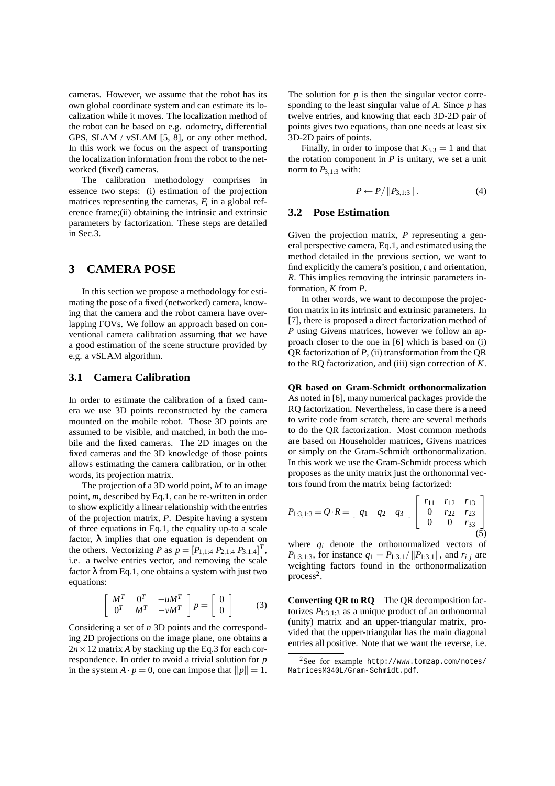cameras. However, we assume that the robot has its own global coordinate system and can estimate its localization while it moves. The localization method of the robot can be based on e.g. odometry, differential GPS, SLAM / vSLAM [5, 8], or any other method. In this work we focus on the aspect of transporting the localization information from the robot to the networked (fixed) cameras.

The calibration methodology comprises in essence two steps: (i) estimation of the projection matrices representing the cameras,  $F_i$  in a global reference frame;(ii) obtaining the intrinsic and extrinsic parameters by factorization. These steps are detailed in Sec.3.

### **3 CAMERA POSE**

In this section we propose a methodology for estimating the pose of a fixed (networked) camera, knowing that the camera and the robot camera have overlapping FOVs. We follow an approach based on conventional camera calibration assuming that we have a good estimation of the scene structure provided by e.g. a vSLAM algorithm.

#### **3.1 Camera Calibration**

In order to estimate the calibration of a fixed camera we use 3D points reconstructed by the camera mounted on the mobile robot. Those 3D points are assumed to be visible, and matched, in both the mobile and the fixed cameras. The 2D images on the fixed cameras and the 3D knowledge of those points allows estimating the camera calibration, or in other words, its projection matrix.

The projection of a 3D world point, *M* to an image point, *m*, described by Eq.1, can be re-written in order to show explicitly a linear relationship with the entries of the projection matrix, *P*. Despite having a system of three equations in Eq.1, the equality up-to a scale factor,  $\lambda$  implies that one equation is dependent on the others. Vectorizing *P* as  $p = [P_{1,1:4} P_{2,1:4} P_{3,1:4}]^T$ , i.e. a twelve entries vector, and removing the scale factor  $\lambda$  from Eq.1, one obtains a system with just two equations:

$$
\begin{bmatrix} M^T & 0^T & -uM^T \\ 0^T & M^T & -vM^T \end{bmatrix} p = \begin{bmatrix} 0 \\ 0 \end{bmatrix}
$$
 (3)

Considering a set of *n* 3D points and the corresponding 2D projections on the image plane, one obtains a  $2n \times 12$  matrix *A* by stacking up the Eq.3 for each correspondence. In order to avoid a trivial solution for *p* in the system  $A \cdot p = 0$ , one can impose that  $||p|| = 1$ . The solution for  $p$  is then the singular vector corresponding to the least singular value of *A*. Since *p* has twelve entries, and knowing that each 3D-2D pair of points gives two equations, than one needs at least six 3D-2D pairs of points.

Finally, in order to impose that  $K_{3,3} = 1$  and that the rotation component in  $P$  is unitary, we set a unit norm to  $P_{3,1:3}$  with:

$$
P \leftarrow P / \|P_{3,1:3}\|.\tag{4}
$$

#### **3.2 Pose Estimation**

Given the projection matrix, *P* representing a general perspective camera, Eq.1, and estimated using the method detailed in the previous section, we want to find explicitly the camera's position, *t* and orientation, *R*. This implies removing the intrinsic parameters information, *K* from *P*.

In other words, we want to decompose the projection matrix in its intrinsic and extrinsic parameters. In [7], there is proposed a direct factorization method of *P* using Givens matrices, however we follow an approach closer to the one in [6] which is based on (i) QR factorization of *P*, (ii) transformation from the QR to the RQ factorization, and (iii) sign correction of *K*.

**QR based on Gram-Schmidt orthonormalization** As noted in [6], many numerical packages provide the RQ factorization. Nevertheless, in case there is a need to write code from scratch, there are several methods to do the QR factorization. Most common methods are based on Householder matrices, Givens matrices or simply on the Gram-Schmidt orthonormalization. In this work we use the Gram-Schmidt process which proposes as the unity matrix just the orthonormal vectors found from the matrix being factorized:

$$
P_{1:3,1:3} = Q \cdot R = \begin{bmatrix} q_1 & q_2 & q_3 \end{bmatrix} \begin{bmatrix} r_{11} & r_{12} & r_{13} \\ 0 & r_{22} & r_{23} \\ 0 & 0 & r_{33} \end{bmatrix}
$$
 (5)

where  $q_i$  denote the orthonormalized vectors of *P*<sub>1:3,1:3</sub>, for instance  $q_1 = P_{1:3,1}/||P_{1:3,1}||$ , and  $r_{i,j}$  are weighting factors found in the orthonormalization process<sup>2</sup> .

**Converting QR to RQ** The QR decomposition factorizes  $P_{1:3,1:3}$  as a unique product of an orthonormal (unity) matrix and an upper-triangular matrix, provided that the upper-triangular has the main diagonal entries all positive. Note that we want the reverse, i.e.

<sup>2</sup>See for example http://www.tomzap.com/notes/ MatricesM340L/Gram-Schmidt.pdf.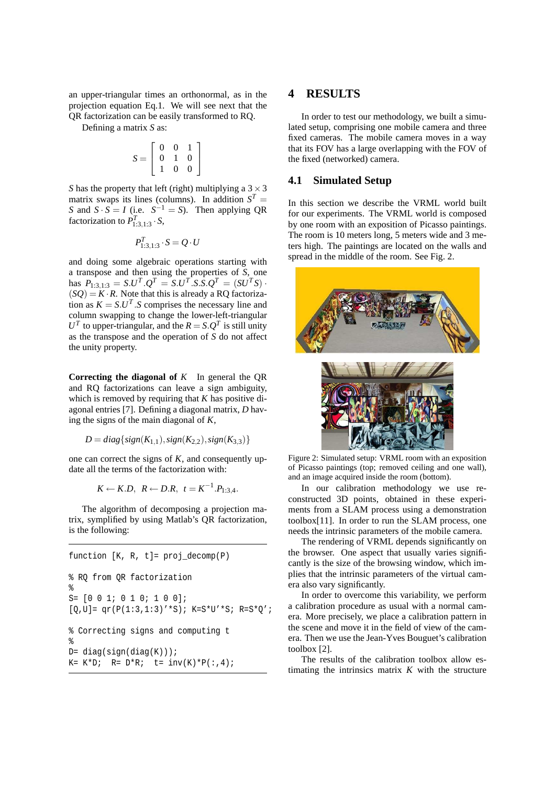an upper-triangular times an orthonormal, as in the projection equation Eq.1. We will see next that the QR factorization can be easily transformed to RQ.

Defining a matrix *S* as:

$$
S = \left[ \begin{array}{rrr} 0 & 0 & 1 \\ 0 & 1 & 0 \\ 1 & 0 & 0 \end{array} \right]
$$

*S* has the property that left (right) multiplying a  $3 \times 3$ matrix swaps its lines (columns). In addition  $S<sup>T</sup>$  = *S* and  $S \cdot S = I$  (i.e.  $S^{-1} = S$ ). Then applying QR factorization to  $P_{1:3,1:3}^T \cdot S$ ,

$$
P_{1:3,1:3}^T \cdot S = Q \cdot U
$$

and doing some algebraic operations starting with a transpose and then using the properties of *S*, one has  $P_{1:3,1:3} = S.U^T.Q^T = S.U^T.S.S.Q^T = (SU^TS)$ .  $(SQ) = K \cdot R$ . Note that this is already a RQ factorization as  $K = S.U^T.S$  comprises the necessary line and column swapping to change the lower-left-triangular  $U<sup>T</sup>$  to upper-triangular, and the  $R = S \cdot Q<sup>T</sup>$  is still unity as the transpose and the operation of *S* do not affect the unity property.

**Correcting the diagonal of** *K* In general the QR and RQ factorizations can leave a sign ambiguity, which is removed by requiring that *K* has positive diagonal entries [7]. Defining a diagonal matrix, *D* having the signs of the main diagonal of *K*,

$$
D = diag\{sign(K_{1,1}), sign(K_{2,2}), sign(K_{3,3})\}
$$

one can correct the signs of *K*, and consequently update all the terms of the factorization with:

$$
K \leftarrow K.D, R \leftarrow D.R, t = K^{-1}.P_{1:3,4}.
$$

The algorithm of decomposing a projection matrix, symplified by using Matlab's QR factorization, is the following:

```
function [K, R, t] = \text{proj}\text{decomp}(P)% RQ from QR factorization
%
S = \{0 \ 0 \ 1; \ 0 \ 1 \ 0; \ 1 \ 0 \ 0 \};[Q,U] = qr(P(1:3,1:3)' * S); K=S*U' * S; R=S*Q';% Correcting signs and computing t
%
D = diag(sign(diag(K)));
K= K * D; R= D * R; t= inv(K) * P(:, 4);
```
### **4 RESULTS**

In order to test our methodology, we built a simulated setup, comprising one mobile camera and three fixed cameras. The mobile camera moves in a way that its FOV has a large overlapping with the FOV of the fixed (networked) camera.

#### **4.1 Simulated Setup**

In this section we describe the VRML world built for our experiments. The VRML world is composed by one room with an exposition of Picasso paintings. The room is 10 meters long, 5 meters wide and 3 meters high. The paintings are located on the walls and spread in the middle of the room. See Fig. 2.



Figure 2: Simulated setup: VRML room with an exposition of Picasso paintings (top; removed ceiling and one wall), and an image acquired inside the room (bottom).

In our calibration methodology we use reconstructed 3D points, obtained in these experiments from a SLAM process using a demonstration toolbox[11]. In order to run the SLAM process, one needs the intrinsic parameters of the mobile camera.

The rendering of VRML depends significantly on the browser. One aspect that usually varies significantly is the size of the browsing window, which implies that the intrinsic parameters of the virtual camera also vary significantly.

In order to overcome this variability, we perform a calibration procedure as usual with a normal camera. More precisely, we place a calibration pattern in the scene and move it in the field of view of the camera. Then we use the Jean-Yves Bouguet's calibration toolbox [2].

The results of the calibration toolbox allow estimating the intrinsics matrix *K* with the structure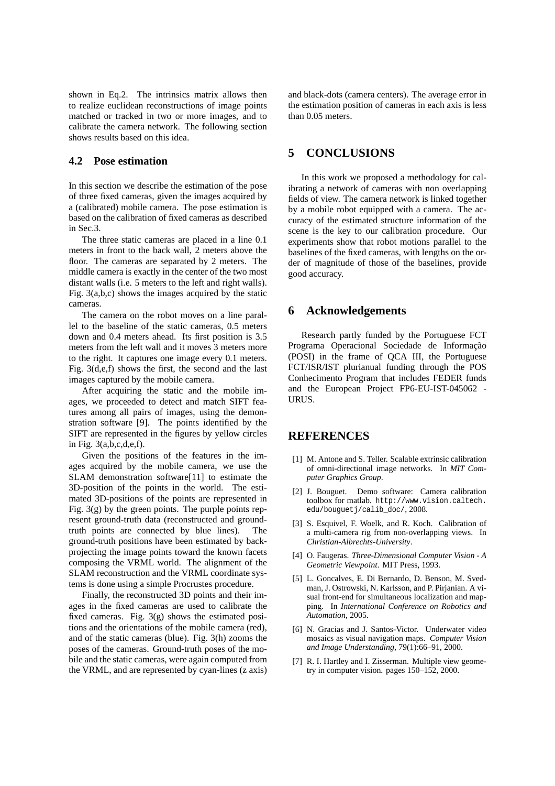shown in Eq.2. The intrinsics matrix allows then to realize euclidean reconstructions of image points matched or tracked in two or more images, and to calibrate the camera network. The following section shows results based on this idea.

### **4.2 Pose estimation**

In this section we describe the estimation of the pose of three fixed cameras, given the images acquired by a (calibrated) mobile camera. The pose estimation is based on the calibration of fixed cameras as described in Sec.3.

The three static cameras are placed in a line 0.1 meters in front to the back wall, 2 meters above the floor. The cameras are separated by 2 meters. The middle camera is exactly in the center of the two most distant walls (i.e. 5 meters to the left and right walls). Fig. 3(a,b,c) shows the images acquired by the static cameras.

The camera on the robot moves on a line parallel to the baseline of the static cameras, 0.5 meters down and 0.4 meters ahead. Its first position is 3.5 meters from the left wall and it moves 3 meters more to the right. It captures one image every 0.1 meters. Fig. 3(d,e,f) shows the first, the second and the last images captured by the mobile camera.

After acquiring the static and the mobile images, we proceeded to detect and match SIFT features among all pairs of images, using the demonstration software [9]. The points identified by the SIFT are represented in the figures by yellow circles in Fig. 3(a,b,c,d,e,f).

Given the positions of the features in the images acquired by the mobile camera, we use the SLAM demonstration software[11] to estimate the 3D-position of the points in the world. The estimated 3D-positions of the points are represented in Fig. 3(g) by the green points. The purple points represent ground-truth data (reconstructed and groundtruth points are connected by blue lines). The ground-truth positions have been estimated by backprojecting the image points toward the known facets composing the VRML world. The alignment of the SLAM reconstruction and the VRML coordinate systems is done using a simple Procrustes procedure.

Finally, the reconstructed 3D points and their images in the fixed cameras are used to calibrate the fixed cameras. Fig. 3(g) shows the estimated positions and the orientations of the mobile camera (red), and of the static cameras (blue). Fig. 3(h) zooms the poses of the cameras. Ground-truth poses of the mobile and the static cameras, were again computed from the VRML, and are represented by cyan-lines (z axis) and black-dots (camera centers). The average error in the estimation position of cameras in each axis is less than 0.05 meters.

### **5 CONCLUSIONS**

In this work we proposed a methodology for calibrating a network of cameras with non overlapping fields of view. The camera network is linked together by a mobile robot equipped with a camera. The accuracy of the estimated structure information of the scene is the key to our calibration procedure. Our experiments show that robot motions parallel to the baselines of the fixed cameras, with lengths on the order of magnitude of those of the baselines, provide good accuracy.

### **6 Acknowledgements**

Research partly funded by the Portuguese FCT Programa Operacional Sociedade de Informação (POSI) in the frame of QCA III, the Portuguese FCT/ISR/IST plurianual funding through the POS Conhecimento Program that includes FEDER funds and the European Project FP6-EU-IST-045062 - URUS.

#### **REFERENCES**

- [1] M. Antone and S. Teller. Scalable extrinsic calibration of omni-directional image networks. In *MIT Computer Graphics Group*.
- [2] J. Bouguet. Demo software: Camera calibration toolbox for matlab. http://www.vision.caltech. edu/bouguetj/calib\_doc/, 2008.
- [3] S. Esquivel, F. Woelk, and R. Koch. Calibration of a multi-camera rig from non-overlapping views. In *Christian-Albrechts-University*.
- [4] O. Faugeras. *Three-Dimensional Computer Vision A Geometric Viewpoint*. MIT Press, 1993.
- [5] L. Goncalves, E. Di Bernardo, D. Benson, M. Svedman, J. Ostrowski, N. Karlsson, and P. Pirjanian. A visual front-end for simultaneous localization and mapping. In *International Conference on Robotics and Automation*, 2005.
- [6] N. Gracias and J. Santos-Victor. Underwater video mosaics as visual navigation maps. *Computer Vision and Image Understanding*, 79(1):66–91, 2000.
- [7] R. I. Hartley and I. Zisserman. Multiple view geometry in computer vision. pages 150–152, 2000.